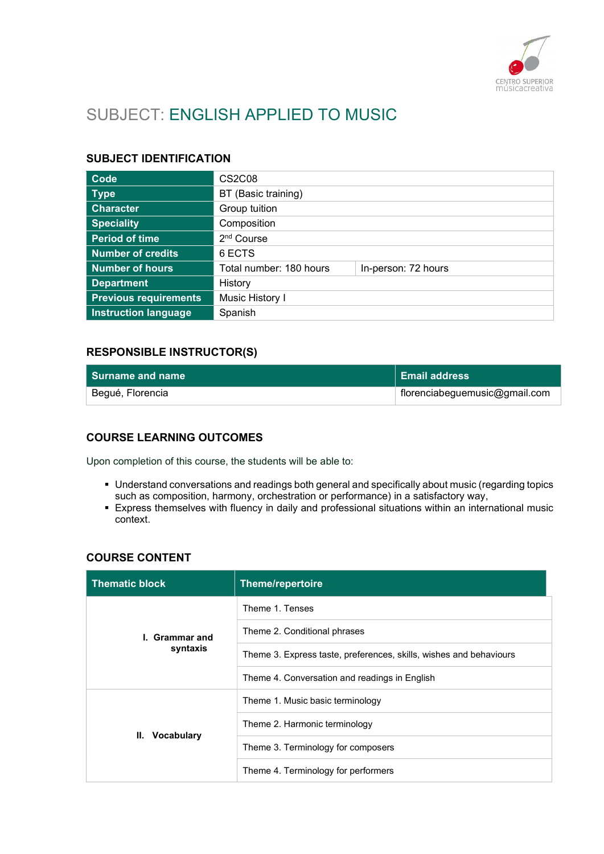

# SUBJECT: ENGLISH APPLIED TO MUSIC

#### SUBJECT IDENTIFICATION

| Code                         | CS <sub>2</sub> C <sub>08</sub> |                     |
|------------------------------|---------------------------------|---------------------|
| <b>Type</b>                  | BT (Basic training)             |                     |
| <b>Character</b>             | Group tuition                   |                     |
| <b>Speciality</b>            | Composition                     |                     |
| <b>Period of time</b>        | 2 <sup>nd</sup> Course          |                     |
| <b>Number of credits</b>     | 6 ECTS                          |                     |
| <b>Number of hours</b>       | Total number: 180 hours         | In-person: 72 hours |
| <b>Department</b>            | History                         |                     |
| <b>Previous requirements</b> | Music History I                 |                     |
| <b>Instruction language</b>  | Spanish                         |                     |

## RESPONSIBLE INSTRUCTOR(S)

| ∣ Surname and name⊹ | ∣ Email address                           |
|---------------------|-------------------------------------------|
| Begué, Florencia    | $\parallel$ florenciabeguemusic@gmail.com |

## COURSE LEARNING OUTCOMES

Upon completion of this course, the students will be able to:

- Understand conversations and readings both general and specifically about music (regarding topics such as composition, harmony, orchestration or performance) in a satisfactory way,
- Express themselves with fluency in daily and professional situations within an international music context.

## COURSE CONTENT

| <b>Thematic block</b>      | <b>Theme/repertoire</b>                                            |
|----------------------------|--------------------------------------------------------------------|
| I. Grammar and<br>syntaxis | Theme 1. Tenses                                                    |
|                            | Theme 2. Conditional phrases                                       |
|                            | Theme 3. Express taste, preferences, skills, wishes and behaviours |
|                            | Theme 4. Conversation and readings in English                      |
| <b>Vocabulary</b><br>Ш.    | Theme 1. Music basic terminology                                   |
|                            | Theme 2. Harmonic terminology                                      |
|                            | Theme 3. Terminology for composers                                 |
|                            | Theme 4. Terminology for performers                                |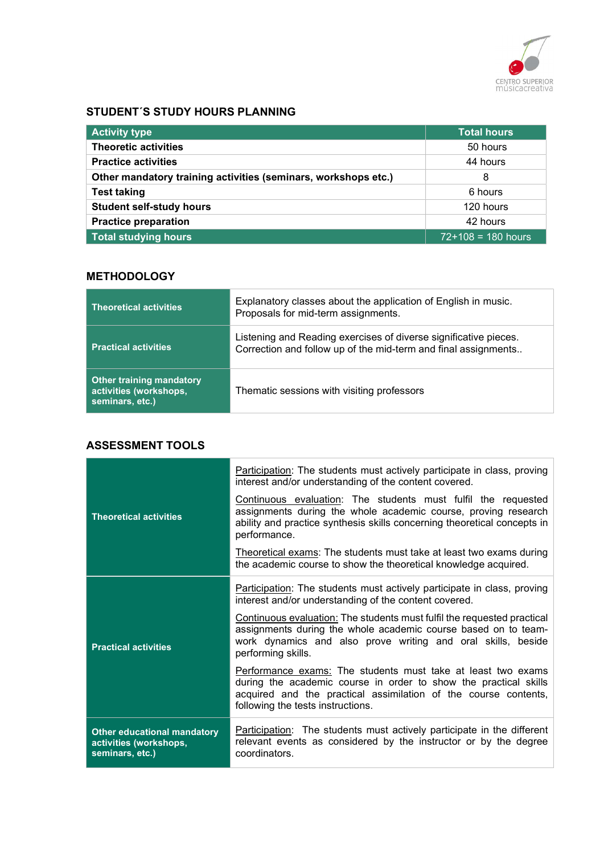

### STUDENT´S STUDY HOURS PLANNING

| <b>Activity type</b>                                           | <b>Total hours</b>   |
|----------------------------------------------------------------|----------------------|
| <b>Theoretic activities</b>                                    | 50 hours             |
| <b>Practice activities</b>                                     | 44 hours             |
| Other mandatory training activities (seminars, workshops etc.) | 8                    |
| <b>Test taking</b>                                             | 6 hours              |
| <b>Student self-study hours</b>                                | 120 hours            |
| <b>Practice preparation</b>                                    | 42 hours             |
| <b>Total studying hours</b>                                    | $72+108 = 180$ hours |

# **METHODOLOGY**

| <b>Theoretical activities</b>                                                | Explanatory classes about the application of English in music.<br>Proposals for mid-term assignments.                              |
|------------------------------------------------------------------------------|------------------------------------------------------------------------------------------------------------------------------------|
| <b>Practical activities</b>                                                  | Listening and Reading exercises of diverse significative pieces.<br>Correction and follow up of the mid-term and final assignments |
| <b>Other training mandatory</b><br>activities (workshops,<br>seminars, etc.) | Thematic sessions with visiting professors                                                                                         |

#### ASSESSMENT TOOLS

|                                                                                 | Participation: The students must actively participate in class, proving<br>interest and/or understanding of the content covered.                                                                                                         |
|---------------------------------------------------------------------------------|------------------------------------------------------------------------------------------------------------------------------------------------------------------------------------------------------------------------------------------|
| <b>Theoretical activities</b>                                                   | Continuous evaluation: The students must fulfil the requested<br>assignments during the whole academic course, proving research<br>ability and practice synthesis skills concerning theoretical concepts in<br>performance.              |
|                                                                                 | Theoretical exams: The students must take at least two exams during<br>the academic course to show the theoretical knowledge acquired.                                                                                                   |
| <b>Practical activities</b>                                                     | Participation: The students must actively participate in class, proving<br>interest and/or understanding of the content covered.                                                                                                         |
|                                                                                 | Continuous evaluation: The students must fulfil the requested practical<br>assignments during the whole academic course based on to team-<br>work dynamics and also prove writing and oral skills, beside<br>performing skills.          |
|                                                                                 | Performance exams: The students must take at least two exams<br>during the academic course in order to show the practical skills<br>acquired and the practical assimilation of the course contents,<br>following the tests instructions. |
| <b>Other educational mandatory</b><br>activities (workshops,<br>seminars, etc.) | Participation: The students must actively participate in the different<br>relevant events as considered by the instructor or by the degree<br>coordinators.                                                                              |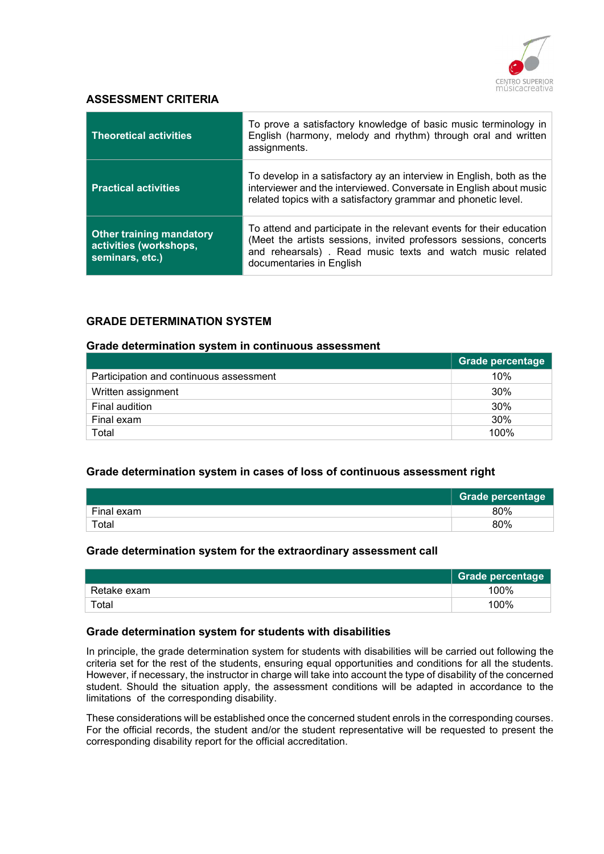

#### ASSESSMENT CRITERIA

| <b>Theoretical activities</b>                                                | To prove a satisfactory knowledge of basic music terminology in<br>English (harmony, melody and rhythm) through oral and written<br>assignments.                                                                                     |
|------------------------------------------------------------------------------|--------------------------------------------------------------------------------------------------------------------------------------------------------------------------------------------------------------------------------------|
| <b>Practical activities</b>                                                  | To develop in a satisfactory ay an interview in English, both as the<br>interviewer and the interviewed. Conversate in English about music<br>related topics with a satisfactory grammar and phonetic level.                         |
| <b>Other training mandatory</b><br>activities (workshops,<br>seminars, etc.) | To attend and participate in the relevant events for their education<br>(Meet the artists sessions, invited professors sessions, concerts  <br>and rehearsals). Read music texts and watch music related<br>documentaries in English |

#### GRADE DETERMINATION SYSTEM

#### Grade determination system in continuous assessment

|                                         | <b>Grade percentage</b> |
|-----------------------------------------|-------------------------|
| Participation and continuous assessment | 10%                     |
| Written assignment                      | 30%                     |
| Final audition                          | 30%                     |
| Final exam                              | 30%                     |
| Total                                   | 100%                    |

#### Grade determination system in cases of loss of continuous assessment right

|             | <b>Grade percentage</b> |
|-------------|-------------------------|
| Final exam  | 80%                     |
| $\tau$ otal | 80%                     |

#### Grade determination system for the extraordinary assessment call

|             | Grade percentage |
|-------------|------------------|
| Retake exam | 100%             |
| Total       | 100%             |

#### Grade determination system for students with disabilities

In principle, the grade determination system for students with disabilities will be carried out following the criteria set for the rest of the students, ensuring equal opportunities and conditions for all the students. However, if necessary, the instructor in charge will take into account the type of disability of the concerned student. Should the situation apply, the assessment conditions will be adapted in accordance to the limitations of the corresponding disability.

These considerations will be established once the concerned student enrols in the corresponding courses. For the official records, the student and/or the student representative will be requested to present the corresponding disability report for the official accreditation.